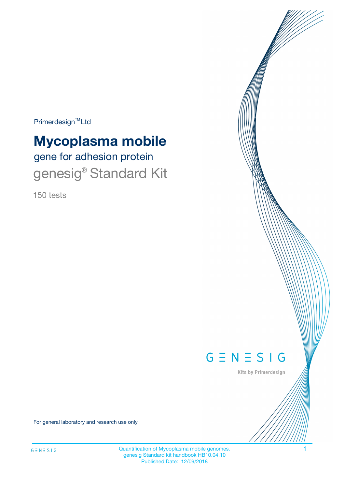Primerdesign<sup>™</sup>Ltd

# **Mycoplasma mobile**

gene for adhesion protein genesig<sup>®</sup> Standard Kit

150 tests



Kits by Primerdesign

For general laboratory and research use only

Quantification of Mycoplasma mobile genomes. 1 genesig Standard kit handbook HB10.04.10 Published Date: 12/09/2018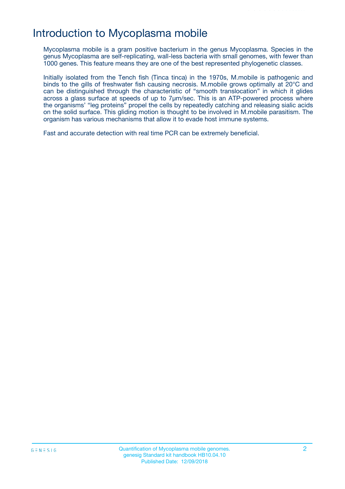## Introduction to Mycoplasma mobile

Mycoplasma mobile is a gram positive bacterium in the genus Mycoplasma. Species in the genus Mycoplasma are self-replicating, wall-less bacteria with small genomes, with fewer than 1000 genes. This feature means they are one of the best represented phylogenetic classes.

Initially isolated from the Tench fish (Tinca tinca) in the 1970s, M.mobile is pathogenic and binds to the gills of freshwater fish causing necrosis. M.mobile grows optimally at 20°C and can be distinguished through the characteristic of "smooth translocation" in which it glides across a glass surface at speeds of up to 7μm/sec. This is an ATP-powered process where the organisms' "leg proteins" propel the cells by repeatedly catching and releasing sialic acids on the solid surface. This gliding motion is thought to be involved in M.mobile parasitism. The organism has various mechanisms that allow it to evade host immune systems.

Fast and accurate detection with real time PCR can be extremely beneficial.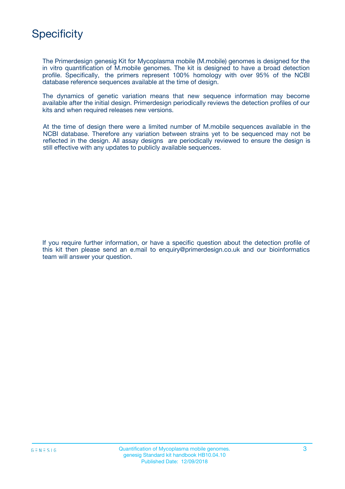## **Specificity**

The Primerdesign genesig Kit for Mycoplasma mobile (M.mobile) genomes is designed for the in vitro quantification of M.mobile genomes. The kit is designed to have a broad detection profile. Specifically, the primers represent 100% homology with over 95% of the NCBI database reference sequences available at the time of design.

The dynamics of genetic variation means that new sequence information may become available after the initial design. Primerdesign periodically reviews the detection profiles of our kits and when required releases new versions.

At the time of design there were a limited number of M.mobile sequences available in the NCBI database. Therefore any variation between strains yet to be sequenced may not be reflected in the design. All assay designs are periodically reviewed to ensure the design is still effective with any updates to publicly available sequences.

If you require further information, or have a specific question about the detection profile of this kit then please send an e.mail to enquiry@primerdesign.co.uk and our bioinformatics team will answer your question.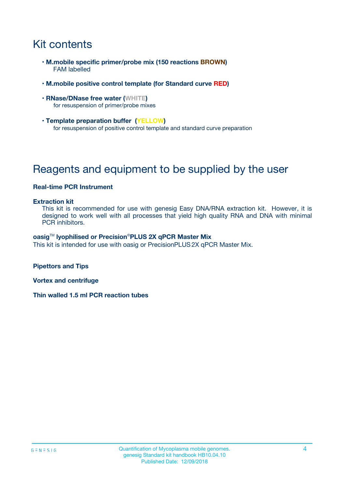## Kit contents

- **M.mobile specific primer/probe mix (150 reactions BROWN)** FAM labelled
- **M.mobile positive control template (for Standard curve RED)**
- **RNase/DNase free water (WHITE)** for resuspension of primer/probe mixes
- **Template preparation buffer (YELLOW)** for resuspension of positive control template and standard curve preparation

## Reagents and equipment to be supplied by the user

### **Real-time PCR Instrument**

#### **Extraction kit**

This kit is recommended for use with genesig Easy DNA/RNA extraction kit. However, it is designed to work well with all processes that yield high quality RNA and DNA with minimal PCR inhibitors.

#### **oasig**TM **lyophilised or Precision**®**PLUS 2X qPCR Master Mix**

This kit is intended for use with oasig or PrecisionPLUS2X qPCR Master Mix.

**Pipettors and Tips**

**Vortex and centrifuge**

**Thin walled 1.5 ml PCR reaction tubes**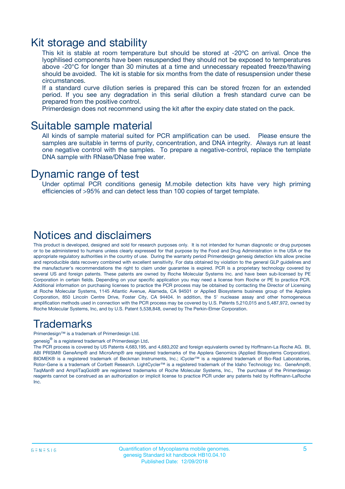### Kit storage and stability

This kit is stable at room temperature but should be stored at -20ºC on arrival. Once the lyophilised components have been resuspended they should not be exposed to temperatures above -20°C for longer than 30 minutes at a time and unnecessary repeated freeze/thawing should be avoided. The kit is stable for six months from the date of resuspension under these circumstances.

If a standard curve dilution series is prepared this can be stored frozen for an extended period. If you see any degradation in this serial dilution a fresh standard curve can be prepared from the positive control.

Primerdesign does not recommend using the kit after the expiry date stated on the pack.

### Suitable sample material

All kinds of sample material suited for PCR amplification can be used. Please ensure the samples are suitable in terms of purity, concentration, and DNA integrity. Always run at least one negative control with the samples. To prepare a negative-control, replace the template DNA sample with RNase/DNase free water.

### Dynamic range of test

Under optimal PCR conditions genesig M.mobile detection kits have very high priming efficiencies of >95% and can detect less than 100 copies of target template.

### Notices and disclaimers

This product is developed, designed and sold for research purposes only. It is not intended for human diagnostic or drug purposes or to be administered to humans unless clearly expressed for that purpose by the Food and Drug Administration in the USA or the appropriate regulatory authorities in the country of use. During the warranty period Primerdesign genesig detection kits allow precise and reproducible data recovery combined with excellent sensitivity. For data obtained by violation to the general GLP guidelines and the manufacturer's recommendations the right to claim under guarantee is expired. PCR is a proprietary technology covered by several US and foreign patents. These patents are owned by Roche Molecular Systems Inc. and have been sub-licensed by PE Corporation in certain fields. Depending on your specific application you may need a license from Roche or PE to practice PCR. Additional information on purchasing licenses to practice the PCR process may be obtained by contacting the Director of Licensing at Roche Molecular Systems, 1145 Atlantic Avenue, Alameda, CA 94501 or Applied Biosystems business group of the Applera Corporation, 850 Lincoln Centre Drive, Foster City, CA 94404. In addition, the 5' nuclease assay and other homogeneous amplification methods used in connection with the PCR process may be covered by U.S. Patents 5,210,015 and 5,487,972, owned by Roche Molecular Systems, Inc, and by U.S. Patent 5,538,848, owned by The Perkin-Elmer Corporation.

### Trademarks

Primerdesign™ is a trademark of Primerdesign Ltd.

genesig $^\circledR$  is a registered trademark of Primerdesign Ltd.

The PCR process is covered by US Patents 4,683,195, and 4,683,202 and foreign equivalents owned by Hoffmann-La Roche AG. BI, ABI PRISM® GeneAmp® and MicroAmp® are registered trademarks of the Applera Genomics (Applied Biosystems Corporation). BIOMEK® is a registered trademark of Beckman Instruments, Inc.; iCycler™ is a registered trademark of Bio-Rad Laboratories, Rotor-Gene is a trademark of Corbett Research. LightCycler™ is a registered trademark of the Idaho Technology Inc. GeneAmp®, TaqMan® and AmpliTaqGold® are registered trademarks of Roche Molecular Systems, Inc., The purchase of the Primerdesign reagents cannot be construed as an authorization or implicit license to practice PCR under any patents held by Hoffmann-LaRoche Inc.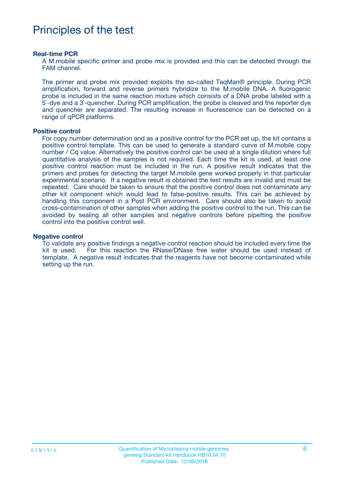## Principles of the test

#### **Real-time PCR**

A M.mobile specific primer and probe mix is provided and this can be detected through the FAM channel.

The primer and probe mix provided exploits the so-called TaqMan® principle. During PCR amplification, forward and reverse primers hybridize to the M.mobile DNA. A fluorogenic probe is included in the same reaction mixture which consists of a DNA probe labeled with a 5`-dye and a 3`-quencher. During PCR amplification, the probe is cleaved and the reporter dye and quencher are separated. The resulting increase in fluorescence can be detected on a range of qPCR platforms.

#### **Positive control**

For copy number determination and as a positive control for the PCR set up, the kit contains a positive control template. This can be used to generate a standard curve of M.mobile copy number / Cq value. Alternatively the positive control can be used at a single dilution where full quantitative analysis of the samples is not required. Each time the kit is used, at least one positive control reaction must be included in the run. A positive result indicates that the primers and probes for detecting the target M.mobile gene worked properly in that particular experimental scenario. If a negative result is obtained the test results are invalid and must be repeated. Care should be taken to ensure that the positive control does not contaminate any other kit component which would lead to false-positive results. This can be achieved by handling this component in a Post PCR environment. Care should also be taken to avoid cross-contamination of other samples when adding the positive control to the run. This can be avoided by sealing all other samples and negative controls before pipetting the positive control into the positive control well.

#### **Negative control**

To validate any positive findings a negative control reaction should be included every time the kit is used. For this reaction the RNase/DNase free water should be used instead of template. A negative result indicates that the reagents have not become contaminated while setting up the run.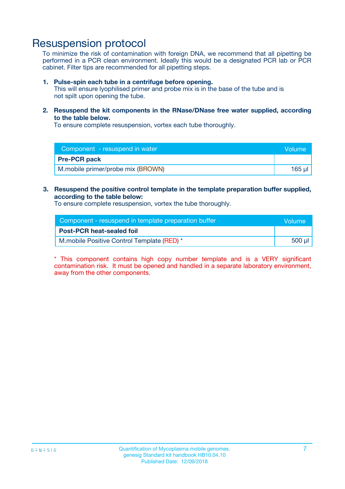### Resuspension protocol

To minimize the risk of contamination with foreign DNA, we recommend that all pipetting be performed in a PCR clean environment. Ideally this would be a designated PCR lab or PCR cabinet. Filter tips are recommended for all pipetting steps.

#### **1. Pulse-spin each tube in a centrifuge before opening.**

This will ensure lyophilised primer and probe mix is in the base of the tube and is not spilt upon opening the tube.

**2. Resuspend the kit components in the RNase/DNase free water supplied, according to the table below.**

To ensure complete resuspension, vortex each tube thoroughly.

| Component - resuspend in water    | Volume |
|-----------------------------------|--------|
| <b>Pre-PCR pack</b>               |        |
| M.mobile primer/probe mix (BROWN) | 165 µl |

#### **3. Resuspend the positive control template in the template preparation buffer supplied, according to the table below:**

To ensure complete resuspension, vortex the tube thoroughly.

| Component - resuspend in template preparation buffer | Wolume' |
|------------------------------------------------------|---------|
| <b>Post-PCR heat-sealed foil</b>                     |         |
| M.mobile Positive Control Template (RED) *           | 500 µl  |

\* This component contains high copy number template and is a VERY significant contamination risk. It must be opened and handled in a separate laboratory environment, away from the other components.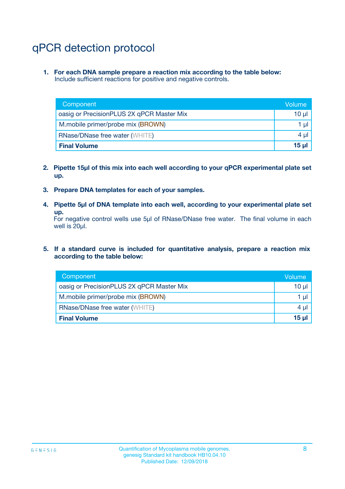## qPCR detection protocol

**1. For each DNA sample prepare a reaction mix according to the table below:** Include sufficient reactions for positive and negative controls.

| Component                                 | Volume   |
|-------------------------------------------|----------|
| oasig or PrecisionPLUS 2X qPCR Master Mix | 10 $\mu$ |
| M.mobile primer/probe mix (BROWN)         | 1 $\mu$  |
| <b>RNase/DNase free water (WHITE)</b>     | $4 \mu$  |
| <b>Final Volume</b>                       | $15 \mu$ |

- **2. Pipette 15µl of this mix into each well according to your qPCR experimental plate set up.**
- **3. Prepare DNA templates for each of your samples.**
- **4. Pipette 5µl of DNA template into each well, according to your experimental plate set up.**

For negative control wells use 5µl of RNase/DNase free water. The final volume in each well is 20µl.

**5. If a standard curve is included for quantitative analysis, prepare a reaction mix according to the table below:**

| Component                                 | Volume          |
|-------------------------------------------|-----------------|
| oasig or PrecisionPLUS 2X qPCR Master Mix | 10 µl           |
| M.mobile primer/probe mix (BROWN)         | 1 µI            |
| <b>RNase/DNase free water (WHITE)</b>     | $4 \mu$         |
| <b>Final Volume</b>                       | 15 <sub>µ</sub> |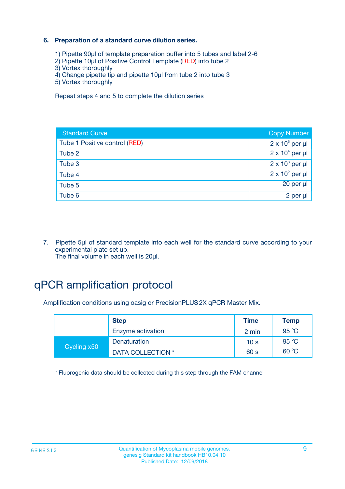### **6. Preparation of a standard curve dilution series.**

- 1) Pipette 90µl of template preparation buffer into 5 tubes and label 2-6
- 2) Pipette 10µl of Positive Control Template (RED) into tube 2
- 3) Vortex thoroughly
- 4) Change pipette tip and pipette 10µl from tube 2 into tube 3
- 5) Vortex thoroughly

Repeat steps 4 and 5 to complete the dilution series

| <b>Standard Curve</b>         | <b>Copy Number</b>     |
|-------------------------------|------------------------|
| Tube 1 Positive control (RED) | $2 \times 10^5$ per µl |
| Tube 2                        | $2 \times 10^4$ per µl |
| Tube 3                        | $2 \times 10^3$ per µl |
| Tube 4                        | $2 \times 10^2$ per µl |
| Tube 5                        | 20 per µl              |
| Tube 6                        | 2 per µl               |

7. Pipette 5µl of standard template into each well for the standard curve according to your experimental plate set up. The final volume in each well is 20µl.

## qPCR amplification protocol

Amplification conditions using oasig or PrecisionPLUS2X qPCR Master Mix.

|             | <b>Step</b>       | <b>Time</b>     | <b>Temp</b> |
|-------------|-------------------|-----------------|-------------|
|             | Enzyme activation | 2 min           | 95 °C       |
| Cycling x50 | Denaturation      | 10 <sub>s</sub> | 95 °C       |
|             | DATA COLLECTION * | 60 s            | 60 °C       |

\* Fluorogenic data should be collected during this step through the FAM channel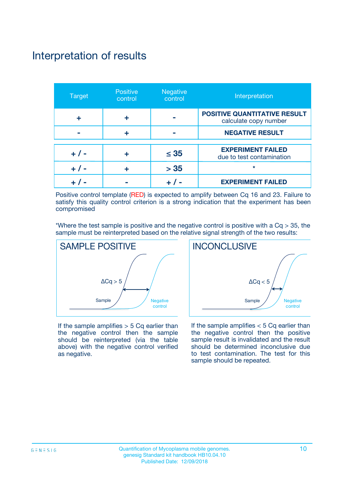### NO Enviro Commensal Interpretation of results

| <b>Target</b> | <b>Positive</b><br>control | <b>Negative</b><br>control | Interpretation                                               |
|---------------|----------------------------|----------------------------|--------------------------------------------------------------|
|               |                            |                            | <b>POSITIVE QUANTITATIVE RESULT</b><br>calculate copy number |
|               |                            |                            | <b>NEGATIVE RESULT</b>                                       |
| $+ 1 -$       |                            | $\leq 35$                  | <b>EXPERIMENT FAILED</b><br>due to test contamination        |
|               |                            | > 35                       | $\ast$                                                       |
|               |                            |                            | <b>EXPERIMENT FAILED</b>                                     |

Positive control template (RED) is expected to amplify between Cq 16 and 23. Failure to satisfy this quality control criterion is a strong indication that the experiment has been compromised

\*Where the test sample is positive and the negative control is positive with a  $Cq > 35$ , the sample must be reinterpreted based on the relative signal strength of the two results:



If the sample amplifies  $> 5$  Cq earlier than the negative control then the sample should be reinterpreted (via the table above) with the negative control verified as negative.



If the sample amplifies  $< 5$  Cq earlier than the negative control then the positive sample result is invalidated and the result should be determined inconclusive due to test contamination. The test for this sample should be repeated.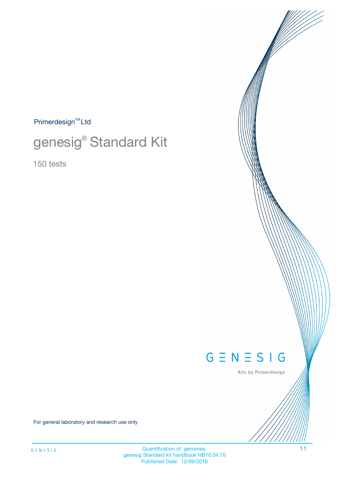$Primerdesign^{\text{TM}}Ltd$ 

# genesig® Standard Kit

150 tests



Kits by Primerdesign

For general laboratory and research use only

Quantification of genomes. 11 genesig Standard kit handbook HB10.04.10 Published Date: 12/09/2018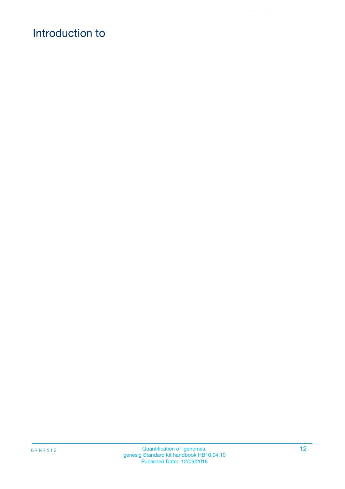## Introduction to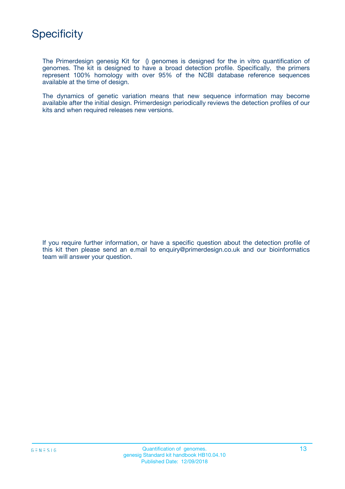

The Primerdesign genesig Kit for () genomes is designed for the in vitro quantification of genomes. The kit is designed to have a broad detection profile. Specifically, the primers represent 100% homology with over 95% of the NCBI database reference sequences available at the time of design.

The dynamics of genetic variation means that new sequence information may become available after the initial design. Primerdesign periodically reviews the detection profiles of our kits and when required releases new versions.

If you require further information, or have a specific question about the detection profile of this kit then please send an e.mail to enquiry@primerdesign.co.uk and our bioinformatics team will answer your question.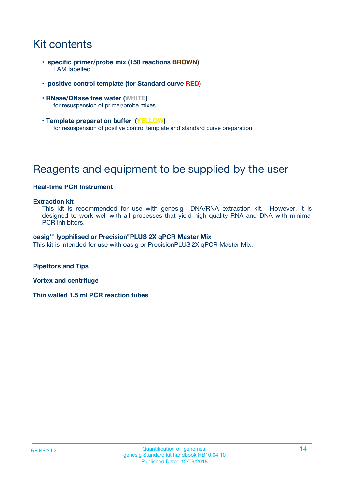## Kit contents

- **specific primer/probe mix (150 reactions BROWN)** FAM labelled
- **positive control template (for Standard curve RED)**
- **RNase/DNase free water (WHITE)** for resuspension of primer/probe mixes
- **Template preparation buffer (YELLOW)** for resuspension of positive control template and standard curve preparation

## Reagents and equipment to be supplied by the user

#### **Real-time PCR Instrument**

#### **Extraction kit**

This kit is recommended for use with genesig DNA/RNA extraction kit. However, it is designed to work well with all processes that yield high quality RNA and DNA with minimal PCR inhibitors.

#### **oasig**TM **lyophilised or Precision**®**PLUS 2X qPCR Master Mix**

This kit is intended for use with oasig or PrecisionPLUS2X qPCR Master Mix.

**Pipettors and Tips**

**Vortex and centrifuge**

**Thin walled 1.5 ml PCR reaction tubes**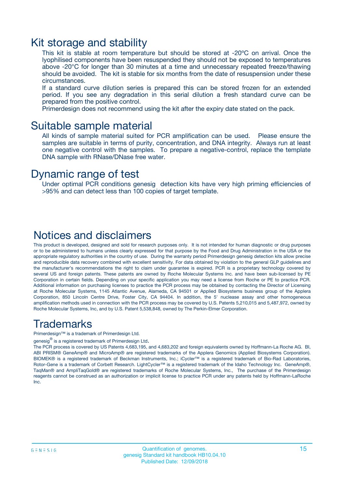### Kit storage and stability

This kit is stable at room temperature but should be stored at -20ºC on arrival. Once the lyophilised components have been resuspended they should not be exposed to temperatures above -20°C for longer than 30 minutes at a time and unnecessary repeated freeze/thawing should be avoided. The kit is stable for six months from the date of resuspension under these circumstances.

If a standard curve dilution series is prepared this can be stored frozen for an extended period. If you see any degradation in this serial dilution a fresh standard curve can be prepared from the positive control.

Primerdesign does not recommend using the kit after the expiry date stated on the pack.

### Suitable sample material

All kinds of sample material suited for PCR amplification can be used. Please ensure the samples are suitable in terms of purity, concentration, and DNA integrity. Always run at least one negative control with the samples. To prepare a negative-control, replace the template DNA sample with RNase/DNase free water.

### Dynamic range of test

Under optimal PCR conditions genesig detection kits have very high priming efficiencies of >95% and can detect less than 100 copies of target template.

### Notices and disclaimers

This product is developed, designed and sold for research purposes only. It is not intended for human diagnostic or drug purposes or to be administered to humans unless clearly expressed for that purpose by the Food and Drug Administration in the USA or the appropriate regulatory authorities in the country of use. During the warranty period Primerdesign genesig detection kits allow precise and reproducible data recovery combined with excellent sensitivity. For data obtained by violation to the general GLP guidelines and the manufacturer's recommendations the right to claim under guarantee is expired. PCR is a proprietary technology covered by several US and foreign patents. These patents are owned by Roche Molecular Systems Inc. and have been sub-licensed by PE Corporation in certain fields. Depending on your specific application you may need a license from Roche or PE to practice PCR. Additional information on purchasing licenses to practice the PCR process may be obtained by contacting the Director of Licensing at Roche Molecular Systems, 1145 Atlantic Avenue, Alameda, CA 94501 or Applied Biosystems business group of the Applera Corporation, 850 Lincoln Centre Drive, Foster City, CA 94404. In addition, the 5' nuclease assay and other homogeneous amplification methods used in connection with the PCR process may be covered by U.S. Patents 5,210,015 and 5,487,972, owned by Roche Molecular Systems, Inc, and by U.S. Patent 5,538,848, owned by The Perkin-Elmer Corporation.

### Trademarks

Primerdesign™ is a trademark of Primerdesign Ltd.

genesig $^\circledR$  is a registered trademark of Primerdesign Ltd.

The PCR process is covered by US Patents 4,683,195, and 4,683,202 and foreign equivalents owned by Hoffmann-La Roche AG. BI, ABI PRISM® GeneAmp® and MicroAmp® are registered trademarks of the Applera Genomics (Applied Biosystems Corporation). BIOMEK® is a registered trademark of Beckman Instruments, Inc.; iCycler™ is a registered trademark of Bio-Rad Laboratories, Rotor-Gene is a trademark of Corbett Research. LightCycler™ is a registered trademark of the Idaho Technology Inc. GeneAmp®, TaqMan® and AmpliTaqGold® are registered trademarks of Roche Molecular Systems, Inc., The purchase of the Primerdesign reagents cannot be construed as an authorization or implicit license to practice PCR under any patents held by Hoffmann-LaRoche Inc.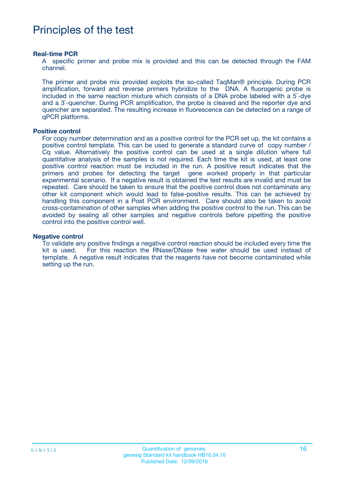## Principles of the test

#### **Real-time PCR**

A specific primer and probe mix is provided and this can be detected through the FAM channel.

The primer and probe mix provided exploits the so-called TaqMan® principle. During PCR amplification, forward and reverse primers hybridize to the DNA. A fluorogenic probe is included in the same reaction mixture which consists of a DNA probe labeled with a 5`-dye and a 3`-quencher. During PCR amplification, the probe is cleaved and the reporter dye and quencher are separated. The resulting increase in fluorescence can be detected on a range of qPCR platforms.

#### **Positive control**

For copy number determination and as a positive control for the PCR set up, the kit contains a positive control template. This can be used to generate a standard curve of copy number / Cq value. Alternatively the positive control can be used at a single dilution where full quantitative analysis of the samples is not required. Each time the kit is used, at least one positive control reaction must be included in the run. A positive result indicates that the primers and probes for detecting the target gene worked properly in that particular experimental scenario. If a negative result is obtained the test results are invalid and must be repeated. Care should be taken to ensure that the positive control does not contaminate any other kit component which would lead to false-positive results. This can be achieved by handling this component in a Post PCR environment. Care should also be taken to avoid cross-contamination of other samples when adding the positive control to the run. This can be avoided by sealing all other samples and negative controls before pipetting the positive control into the positive control well.

#### **Negative control**

To validate any positive findings a negative control reaction should be included every time the kit is used. For this reaction the RNase/DNase free water should be used instead of template. A negative result indicates that the reagents have not become contaminated while setting up the run.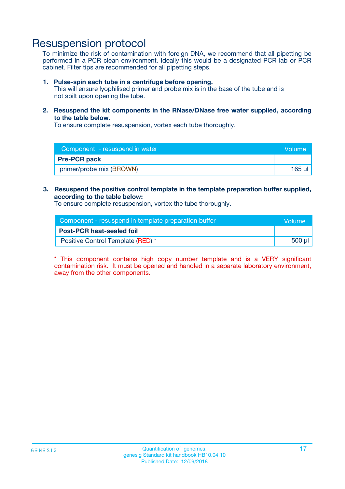### Resuspension protocol

To minimize the risk of contamination with foreign DNA, we recommend that all pipetting be performed in a PCR clean environment. Ideally this would be a designated PCR lab or PCR cabinet. Filter tips are recommended for all pipetting steps.

#### **1. Pulse-spin each tube in a centrifuge before opening.**

This will ensure lyophilised primer and probe mix is in the base of the tube and is not spilt upon opening the tube.

**2. Resuspend the kit components in the RNase/DNase free water supplied, according to the table below.**

To ensure complete resuspension, vortex each tube thoroughly.

| Component - resuspend in water | Volume        |
|--------------------------------|---------------|
| <b>Pre-PCR pack</b>            |               |
| primer/probe mix (BROWN)       | <u>165 นเ</u> |

#### **3. Resuspend the positive control template in the template preparation buffer supplied, according to the table below:**

To ensure complete resuspension, vortex the tube thoroughly.

| Component - resuspend in template preparation buffer | <b>Nolume</b> |
|------------------------------------------------------|---------------|
| <b>Post-PCR heat-sealed foil</b>                     |               |
| Positive Control Template (RED) *                    | 500 µl        |

\* This component contains high copy number template and is a VERY significant contamination risk. It must be opened and handled in a separate laboratory environment, away from the other components.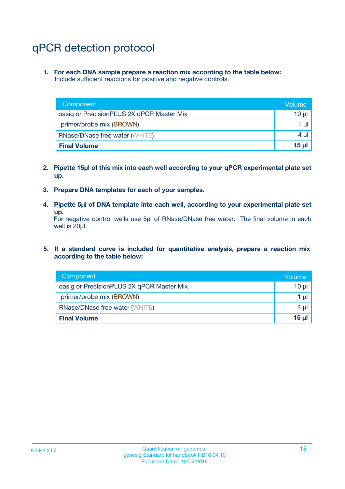## qPCR detection protocol

**1. For each DNA sample prepare a reaction mix according to the table below:** Include sufficient reactions for positive and negative controls.

| Component                                 | Volume           |
|-------------------------------------------|------------------|
| oasig or PrecisionPLUS 2X qPCR Master Mix | 10 $\mu$         |
| primer/probe mix (BROWN)                  | 1 $\mu$          |
| <b>RNase/DNase free water (WHITE)</b>     | $4 \mu$          |
| <b>Final Volume</b>                       | 15 <sub>ul</sub> |

- **2. Pipette 15µl of this mix into each well according to your qPCR experimental plate set up.**
- **3. Prepare DNA templates for each of your samples.**
- **4. Pipette 5µl of DNA template into each well, according to your experimental plate set up.**

For negative control wells use 5µl of RNase/DNase free water. The final volume in each well is 20µl.

**5. If a standard curve is included for quantitative analysis, prepare a reaction mix according to the table below:**

| Component                                 | Volume          |
|-------------------------------------------|-----------------|
| oasig or PrecisionPLUS 2X qPCR Master Mix | 10 µl           |
| primer/probe mix (BROWN)                  | 1 µI            |
| <b>RNase/DNase free water (WHITE)</b>     | $4 \mu$         |
| <b>Final Volume</b>                       | 15 <sub>µ</sub> |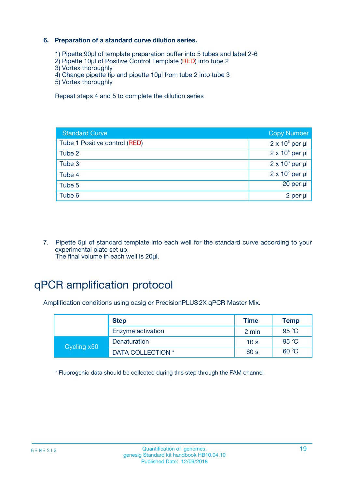### **6. Preparation of a standard curve dilution series.**

- 1) Pipette 90µl of template preparation buffer into 5 tubes and label 2-6
- 2) Pipette 10µl of Positive Control Template (RED) into tube 2
- 3) Vortex thoroughly
- 4) Change pipette tip and pipette 10µl from tube 2 into tube 3
- 5) Vortex thoroughly

Repeat steps 4 and 5 to complete the dilution series

| <b>Standard Curve</b>         | <b>Copy Number</b>     |
|-------------------------------|------------------------|
| Tube 1 Positive control (RED) | $2 \times 10^5$ per µl |
| Tube 2                        | $2 \times 10^4$ per µl |
| Tube 3                        | $2 \times 10^3$ per µl |
| Tube 4                        | $2 \times 10^2$ per µl |
| Tube 5                        | 20 per µl              |
| Tube 6                        | 2 per µl               |

7. Pipette 5µl of standard template into each well for the standard curve according to your experimental plate set up. The final volume in each well is 20µl.

## qPCR amplification protocol

Amplification conditions using oasig or PrecisionPLUS2X qPCR Master Mix.

|             | <b>Step</b>       | <b>Time</b>     | Temp  |
|-------------|-------------------|-----------------|-------|
|             | Enzyme activation | 2 min           | 95 °C |
| Cycling x50 | Denaturation      | 10 <sub>s</sub> | 95 °C |
|             | DATA COLLECTION * | 60 s            | 60 °C |

\* Fluorogenic data should be collected during this step through the FAM channel